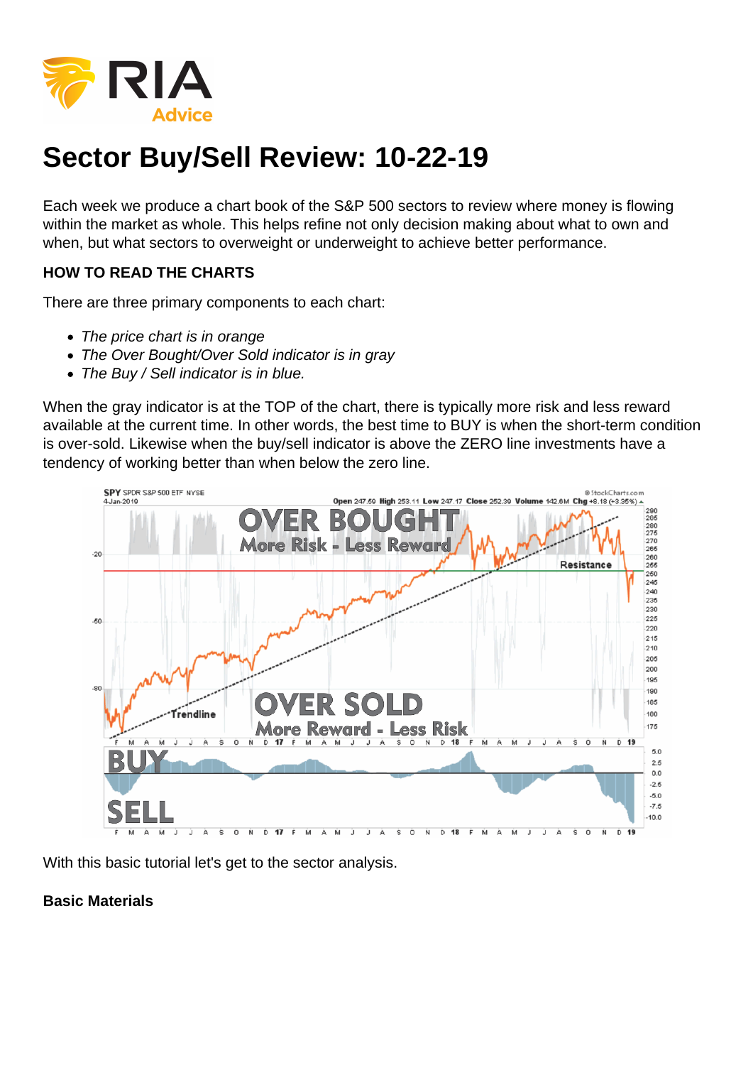## Sector Buy/Sell Review: 10-22-19

Each week we produce a chart book of the S&P 500 sectors to review where money is flowing within the market as whole. This helps refine not only decision making about what to own and when, but what sectors to overweight or underweight to achieve better performance.

HOW TO READ THE CHARTS

There are three primary components to each chart:

- The price chart is in orange
- The Over Bought/Over Sold indicator is in gray
- The Buy / Sell indicator is in blue.

When the gray indicator is at the TOP of the chart, there is typically more risk and less reward available at the current time. In other words, the best time to BUY is when the short-term condition is over-sold. Likewise when the buy/sell indicator is above the ZERO line investments have a tendency of working better than when below the zero line.

With this basic tutorial let's get to the sector analysis.

Basic Materials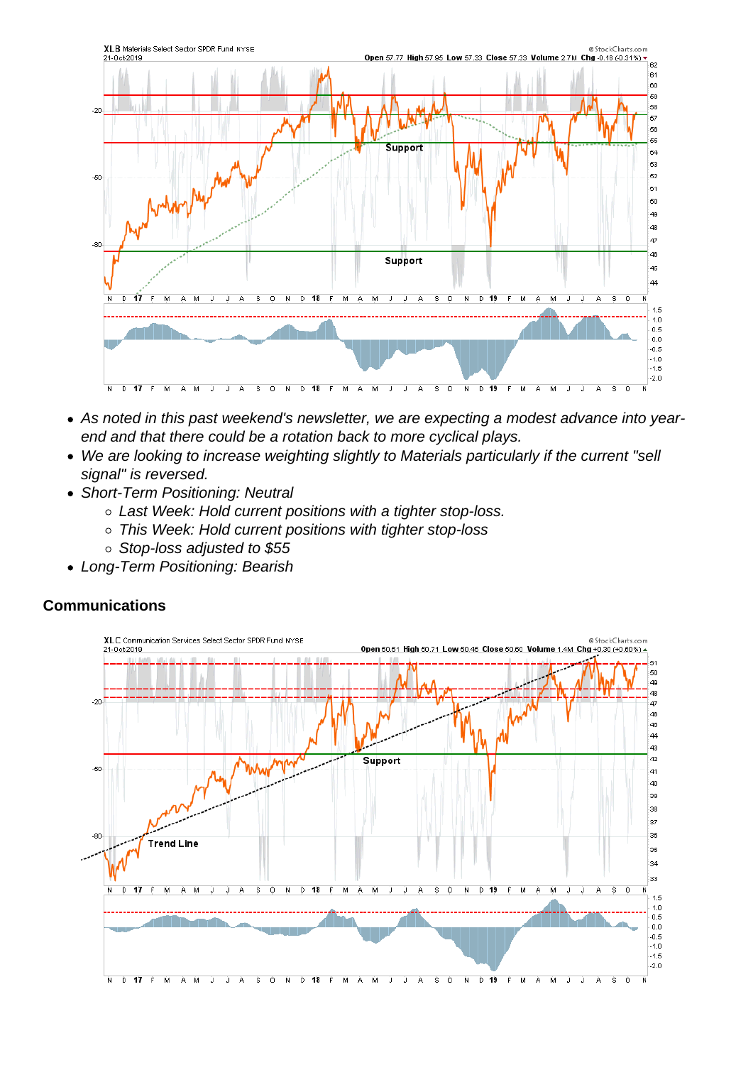- As noted in this past weekend's newsletter, we are expecting a modest advance into yearend and that there could be a rotation back to more cyclical plays.
- We are looking to increase weighting slightly to Materials particularly if the current "sell signal" is reversed.
- Short-Term Positioning: Neutral
	- Last Week: Hold current positions with a tighter stop-loss.
	- This Week: Hold current positions with tighter stop-loss
	- Stop-loss adjusted to \$55
- Long-Term Positioning: Bearish

**Communications**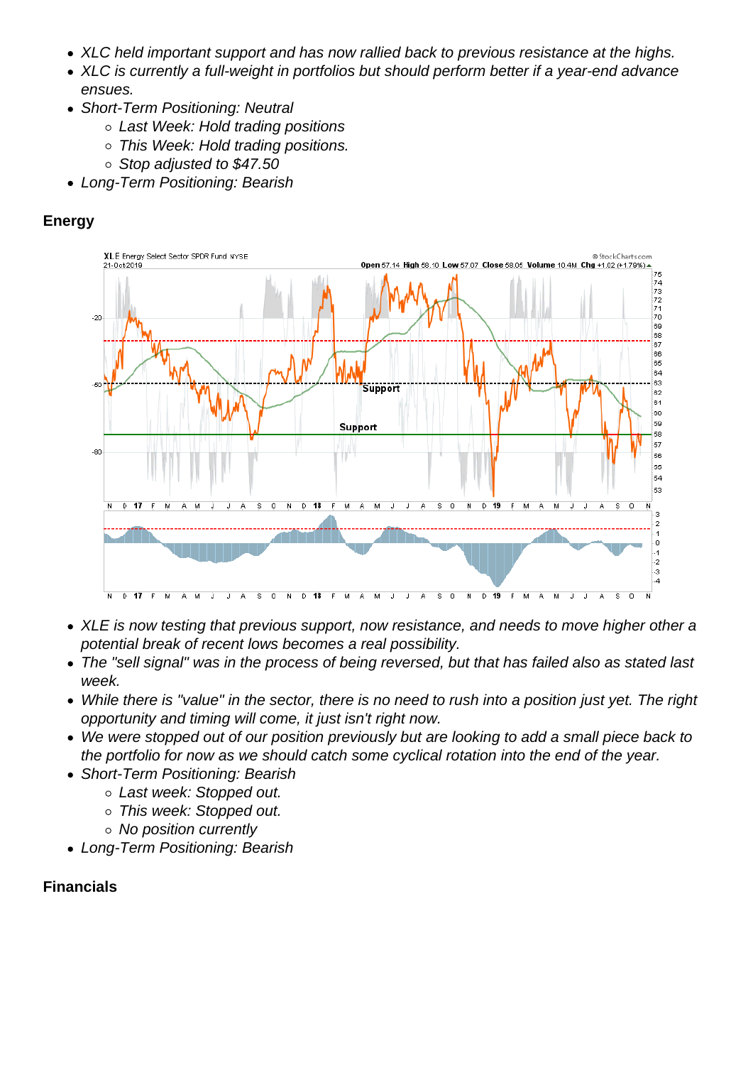- XLC held important support and has now rallied back to previous resistance at the highs.
- XLC is currently a full-weight in portfolios but should perform better if a year-end advance ensues.
- Short-Term Positioning: Neutral
	- Last Week: Hold trading positions
	- This Week: Hold trading positions.
	- Stop adjusted to \$47.50
- Long-Term Positioning: Bearish

Energy

- XLE is now testing that previous support, now resistance, and needs to move higher other a potential break of recent lows becomes a real possibility.
- The "sell signal" was in the process of being reversed, but that has failed also as stated last week.
- While there is "value" in the sector, there is no need to rush into a position just yet. The right opportunity and timing will come, it just isn't right now.
- We were stopped out of our position previously but are looking to add a small piece back to the portfolio for now as we should catch some cyclical rotation into the end of the year.
- Short-Term Positioning: Bearish
	- Last week: Stopped out.
		- This week: Stopped out.
		- No position currently
- Long-Term Positioning: Bearish

**Financials**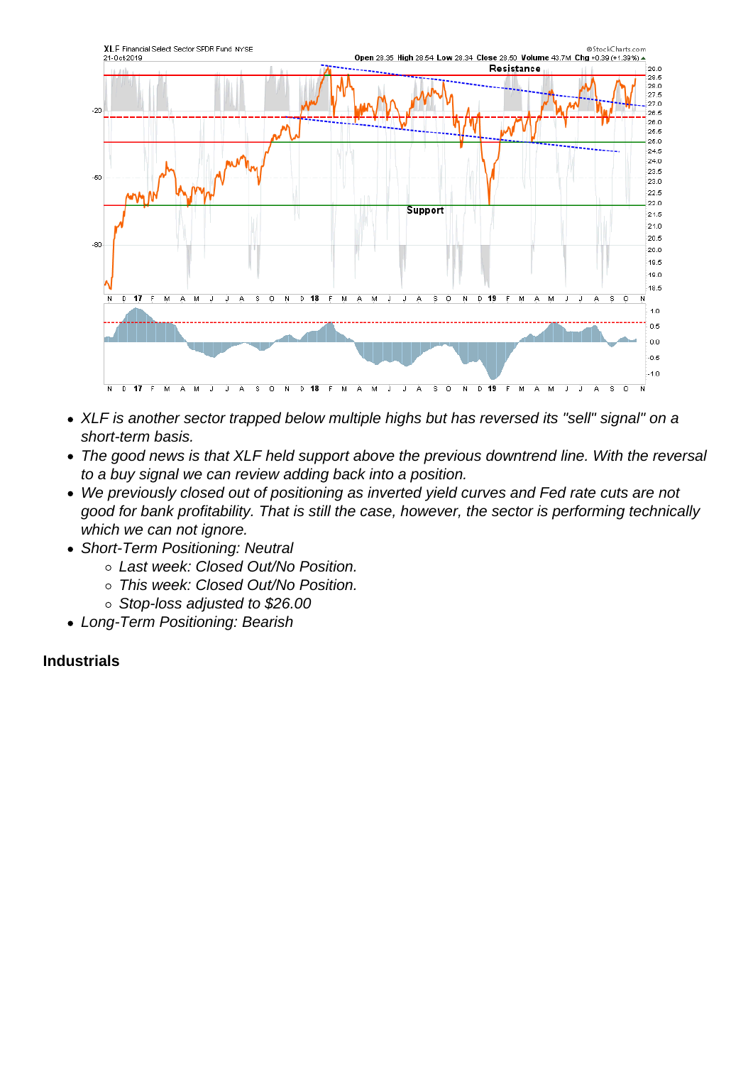- XLF is another sector trapped below multiple highs but has reversed its "sell" signal" on a short-term basis.
- The good news is that XLF held support above the previous downtrend line. With the reversal to a buy signal we can review adding back into a position.
- We previously closed out of positioning as inverted yield curves and Fed rate cuts are not good for bank profitability. That is still the case, however, the sector is performing technically which we can not ignore.
- Short-Term Positioning: Neutral
	- Last week: Closed Out/No Position.
	- This week: Closed Out/No Position.
	- Stop-loss adjusted to \$26.00
- Long-Term Positioning: Bearish

Industrials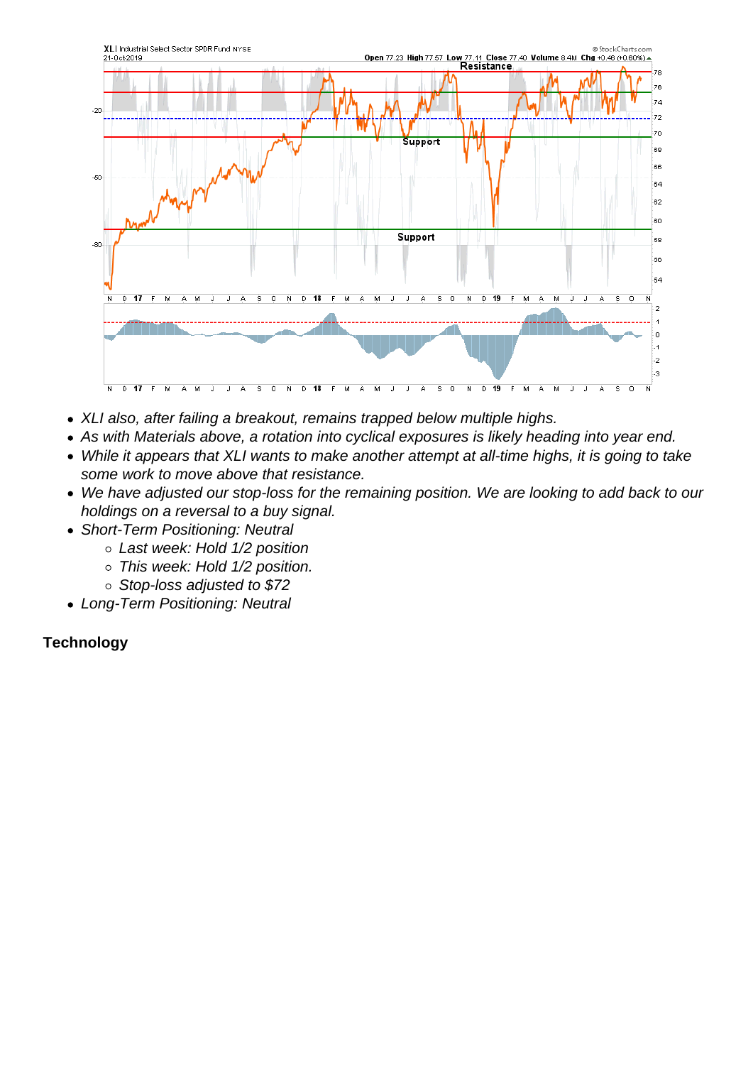- XLI also, after failing a breakout, remains trapped below multiple highs.
- As with Materials above, a rotation into cyclical exposures is likely heading into year end.
- While it appears that XLI wants to make another attempt at all-time highs, it is going to take some work to move above that resistance.
- We have adjusted our stop-loss for the remaining position. We are looking to add back to our holdings on a reversal to a buy signal.
- Short-Term Positioning: Neutral
	- Last week: Hold 1/2 position
	- o This week: Hold 1/2 position.
	- o Stop-loss adjusted to \$72
- Long-Term Positioning: Neutral

**Technology**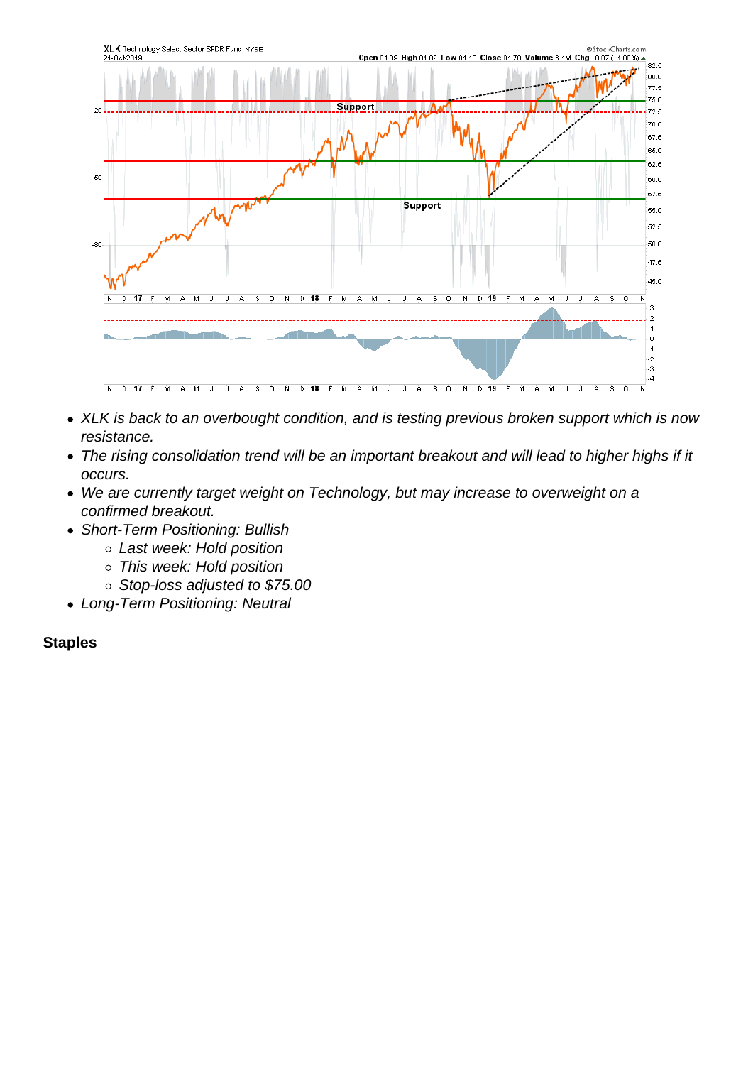- XLK is back to an overbought condition, and is testing previous broken support which is now resistance.
- The rising consolidation trend will be an important breakout and will lead to higher highs if it occurs.
- We are currently target weight on Technology, but may increase to overweight on a confirmed breakout.
- Short-Term Positioning: Bullish
	- Last week: Hold position
	- This week: Hold position
	- o Stop-loss adjusted to \$75.00
- Long-Term Positioning: Neutral

**Staples**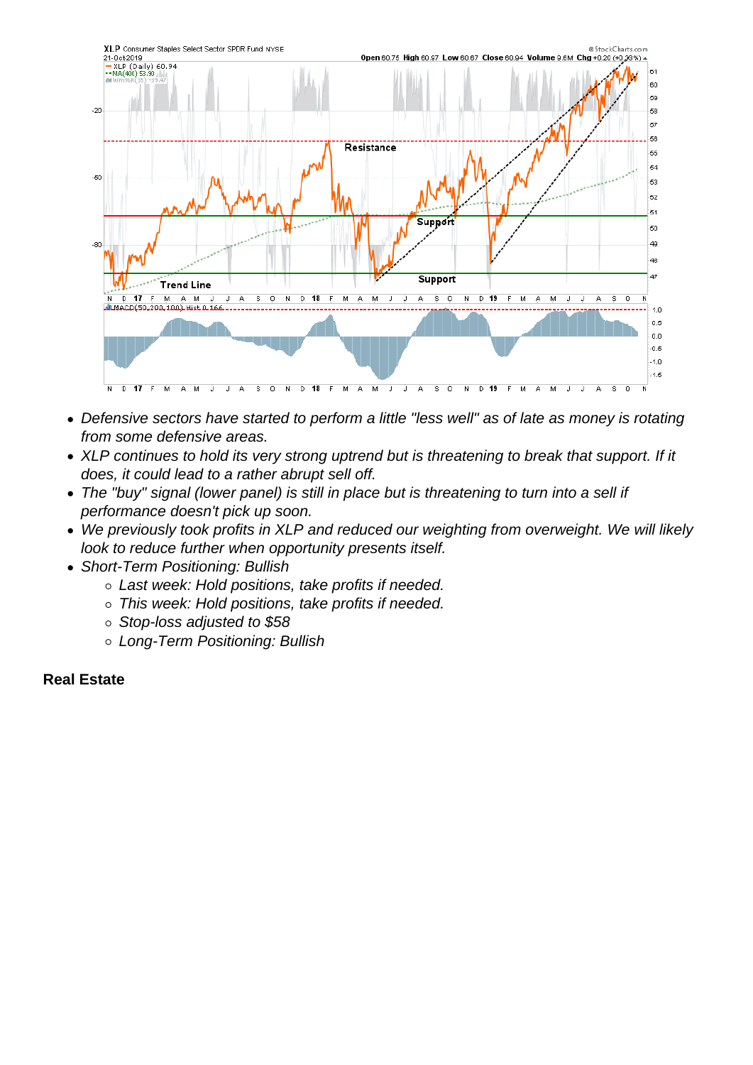- Defensive sectors have started to perform a little "less well" as of late as money is rotating from some defensive areas.
- XLP continues to hold its very strong uptrend but is threatening to break that support. If it does, it could lead to a rather abrupt sell off.
- The "buy" signal (lower panel) is still in place but is threatening to turn into a sell if performance doesn't pick up soon.
- We previously took profits in XLP and reduced our weighting from overweight. We will likely look to reduce further when opportunity presents itself.
- Short-Term Positioning: Bullish
	- Last week: Hold positions, take profits if needed.
	- This week: Hold positions, take profits if needed.
	- Stop-loss adjusted to \$58
	- Long-Term Positioning: Bullish

Real Estate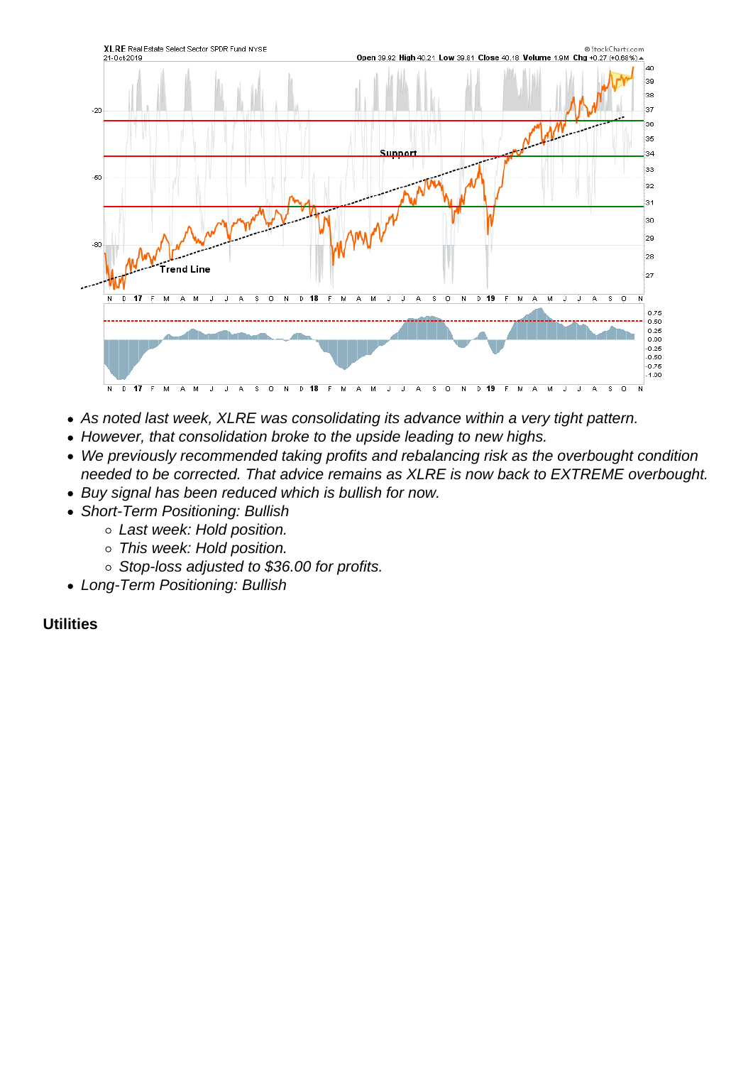- As noted last week, XLRE was consolidating its advance within a very tight pattern.
- However, that consolidation broke to the upside leading to new highs.
- We previously recommended taking profits and rebalancing risk as the overbought condition needed to be corrected. That advice remains as XLRE is now back to EXTREME overbought.
- Buy signal has been reduced which is bullish for now.
- Short-Term Positioning: Bullish
	- Last week: Hold position.
	- This week: Hold position.
	- o Stop-loss adjusted to \$36.00 for profits.
- Long-Term Positioning: Bullish

## **Utilities**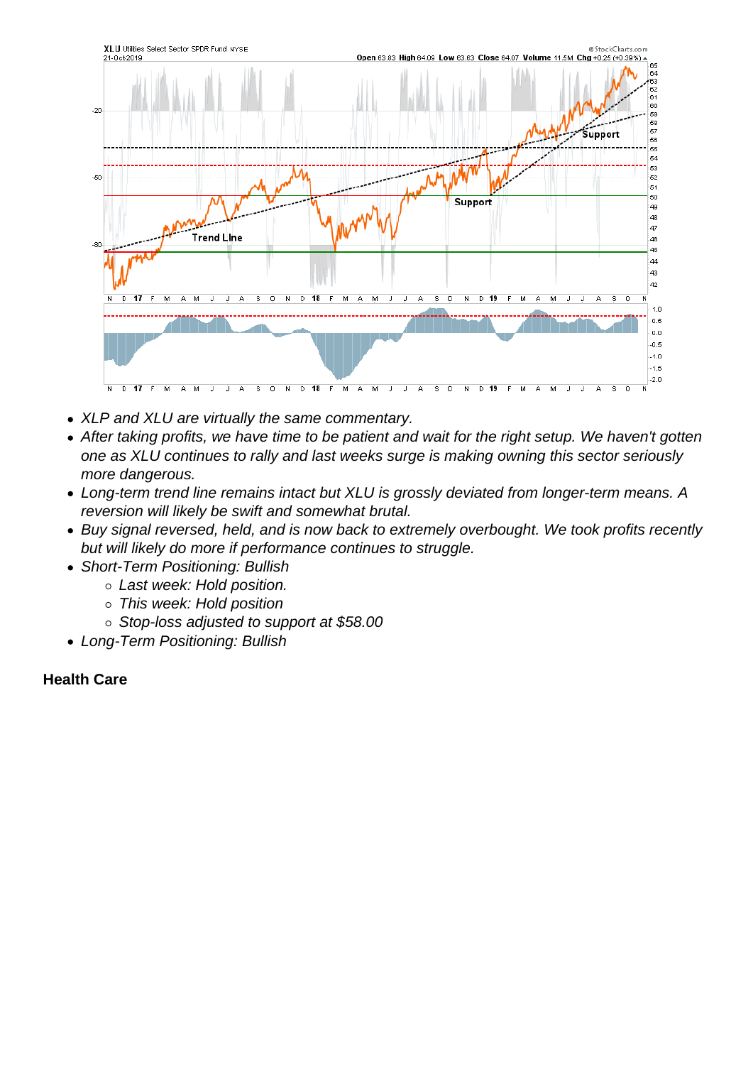- XLP and XLU are virtually the same commentary.
- After taking profits, we have time to be patient and wait for the right setup. We haven't gotten one as XLU continues to rally and last weeks surge is making owning this sector seriously more dangerous.
- Long-term trend line remains intact but XLU is grossly deviated from longer-term means. A reversion will likely be swift and somewhat brutal.
- Buy signal reversed, held, and is now back to extremely overbought. We took profits recently but will likely do more if performance continues to struggle.
- Short-Term Positioning: Bullish
	- Last week: Hold position.
	- This week: Hold position
	- Stop-loss adjusted to support at \$58.00
- Long-Term Positioning: Bullish

Health Care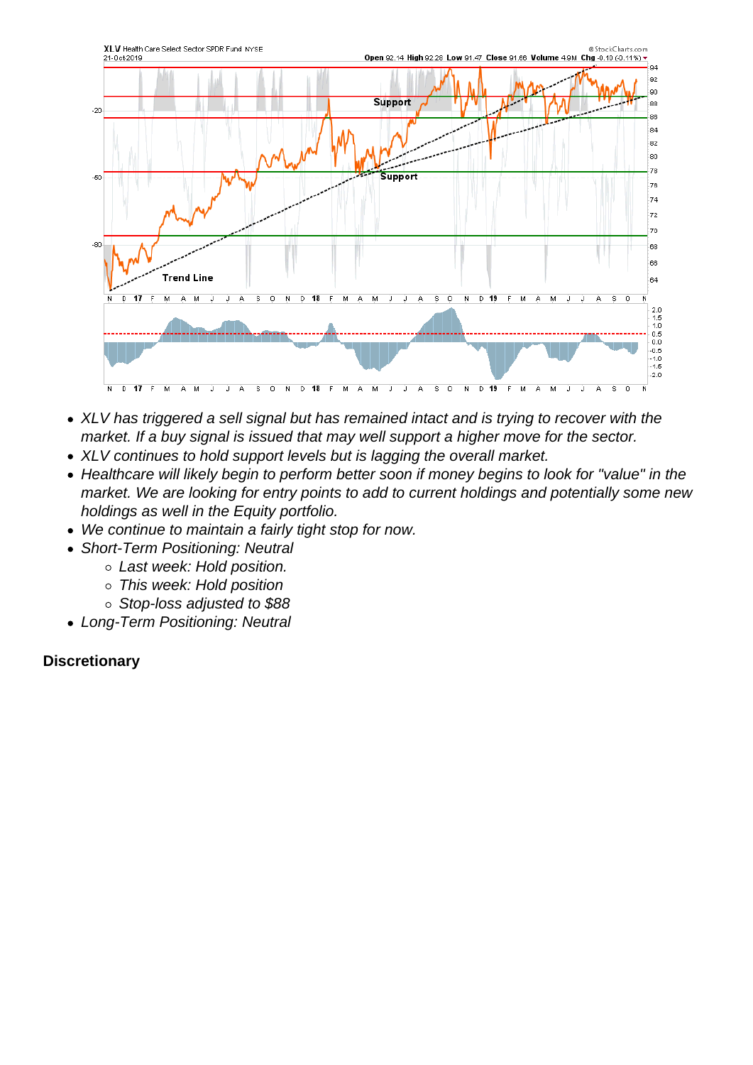- XLV has triggered a sell signal but has remained intact and is trying to recover with the market. If a buy signal is issued that may well support a higher move for the sector.
- XLV continues to hold support levels but is lagging the overall market.
- Healthcare will likely begin to perform better soon if money begins to look for "value" in the market. We are looking for entry points to add to current holdings and potentially some new holdings as well in the Equity portfolio.
- We continue to maintain a fairly tight stop for now.
- Short-Term Positioning: Neutral
	- Last week: Hold position.
	- This week: Hold position
	- Stop-loss adjusted to \$88
- Long-Term Positioning: Neutral

**Discretionary**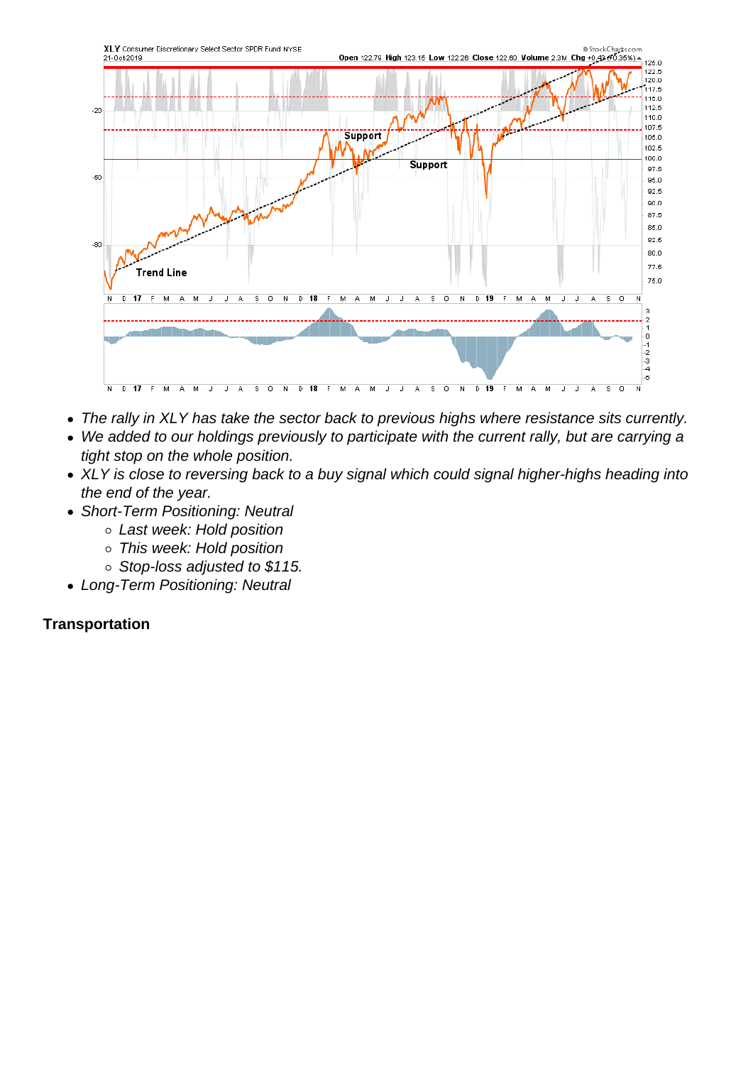- The rally in XLY has take the sector back to previous highs where resistance sits currently.
- We added to our holdings previously to participate with the current rally, but are carrying a tight stop on the whole position.
- XLY is close to reversing back to a buy signal which could signal higher-highs heading into the end of the year.
- Short-Term Positioning: Neutral
	- Last week: Hold position
	- This week: Hold position
	- o Stop-loss adjusted to \$115.
- Long-Term Positioning: Neutral

**Transportation**